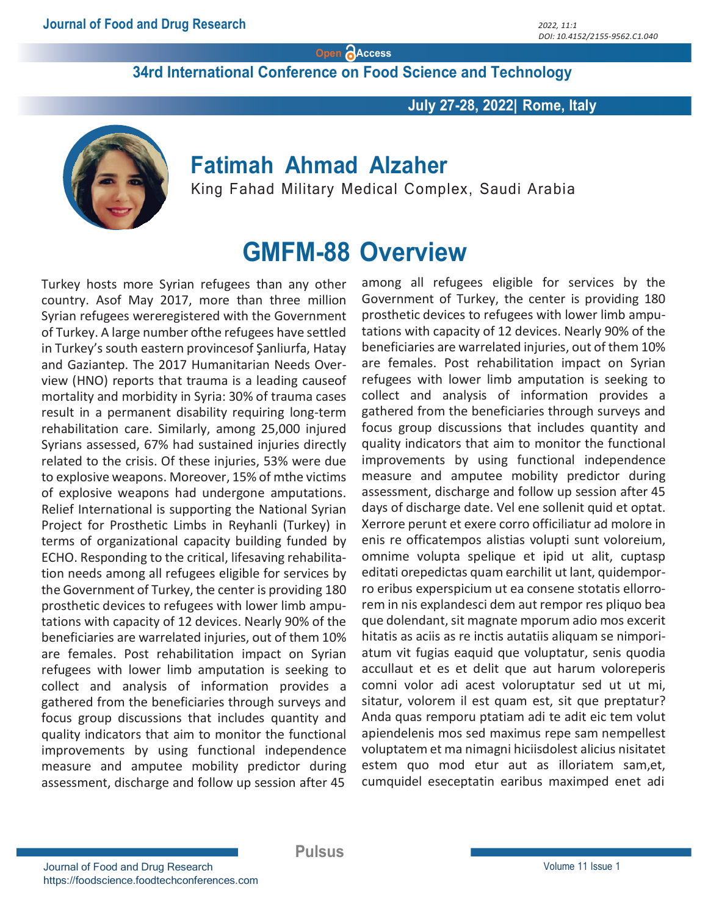Open AAccess

34rd International Conference on Food Science and Technology

July 27-28, 2022| Rome, Italy



### Fatimah Ahmad Alzaher

King Fahad Military Medical Complex, Saudi Arabia

## GMFM-88 Overview

Turkey hosts more Syrian refugees than any other country. Asof May 2017, more than three million Syrian refugees wereregistered with the Government of Turkey. A large number ofthe refugees have settled in Turkey's south eastern provincesof Şanliurfa, Hatay and Gaziantep. The 2017 Humanitarian Needs Overview (HNO) reports that trauma is a leading causeof mortality and morbidity in Syria: 30% of trauma cases result in a permanent disability requiring long-term rehabilitation care. Similarly, among 25,000 injured Syrians assessed, 67% had sustained injuries directly related to the crisis. Of these injuries, 53% were due to explosive weapons. Moreover, 15% of mthe victims of explosive weapons had undergone amputations. Relief International is supporting the National Syrian Project for Prosthetic Limbs in Reyhanli (Turkey) in terms of organizational capacity building funded by ECHO. Responding to the critical, lifesaving rehabilitation needs among all refugees eligible for services by the Government of Turkey, the center is providing 180 prosthetic devices to refugees with lower limb amputations with capacity of 12 devices. Nearly 90% of the beneficiaries are warrelated injuries, out of them 10% are females. Post rehabilitation impact on Syrian refugees with lower limb amputation is seeking to collect and analysis of information provides a gathered from the beneficiaries through surveys and focus group discussions that includes quantity and quality indicators that aim to monitor the functional improvements by using functional independence measure and amputee mobility predictor during assessment, discharge and follow up session after 45

among all refugees eligible for services by the Government of Turkey, the center is providing 180 prosthetic devices to refugees with lower limb amputations with capacity of 12 devices. Nearly 90% of the beneficiaries are warrelated injuries, out of them 10% are females. Post rehabilitation impact on Syrian refugees with lower limb amputation is seeking to collect and analysis of information provides a gathered from the beneficiaries through surveys and focus group discussions that includes quantity and quality indicators that aim to monitor the functional improvements by using functional independence measure and amputee mobility predictor during assessment, discharge and follow up session after 45 days of discharge date. Vel ene sollenit quid et optat. Xerrore perunt et exere corro officiliatur ad molore in enis re officatempos alistias volupti sunt voloreium, omnime volupta spelique et ipid ut alit, cuptasp editati orepedictas quam earchilit ut lant, quidemporro eribus experspicium ut ea consene stotatis ellorrorem in nis explandesci dem aut rempor res pliquo bea que dolendant, sit magnate mporum adio mos excerit hitatis as aciis as re inctis autatiis aliquam se nimporiatum vit fugias eaquid que voluptatur, senis quodia accullaut et es et delit que aut harum voloreperis comni volor adi acest voloruptatur sed ut ut mi, sitatur, volorem il est quam est, sit que preptatur? Anda quas remporu ptatiam adi te adit eic tem volut apiendelenis mos sed maximus repe sam nempellest voluptatem et ma nimagni hiciisdolest alicius nisitatet estem quo mod etur aut as illoriatem sam,et, cumquidel eseceptatin earibus maximped enet adi

Pulsus